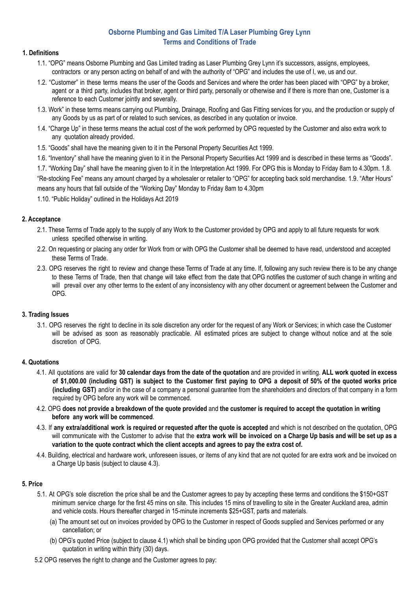# **Osborne Plumbing and Gas Limited T/A Laser Plumbing Grey Lynn Terms and Conditions of Trade**

## **1. Definitions**

- 1.1. "OPG" means Osborne Plumbing and Gas Limited trading as Laser Plumbing Grey Lynn it's successors, assigns, employees, contractors or any person acting on behalf of and with the authority of "OPG" and includes the use of I, we, us and our.
- 1.2. "Customer" in these terms means the user of the Goods and Services and where the order has been placed with "OPG" by a broker, agent or a third party, includes that broker, agent or third party, personally or otherwise and if there is more than one, Customer is a reference to each Customer jointly and severally.
- 1.3. Work" in these terms means carrying out Plumbing, Drainage, Roofing and Gas Fitting services for you, and the production or supply of any Goods by us as part of or related to such services, as described in any quotation or invoice.
- 1.4. "Charge Up" in these terms means the actual cost of the work performed by OPG requested by the Customer and also extra work to any quotation already provided.
- 1.5. "Goods" shall have the meaning given to it in the Personal Property Securities Act 1999.
- 1.6. "Inventory" shall have the meaning given to it in the Personal Property Securities Act 1999 and is described in these terms as "Goods".

1.7. "Working Day" shall have the meaning given to it in the Interpretation Act 1999. For OPG this is Monday to Friday 8am to 4.30pm. 1.8. "Re-stocking Fee" means any amount charged by a wholesaler or retailer to "OPG" for accepting back sold merchandise. 1.9. "After Hours" means any hours that fall outside of the "Working Day" Monday to Friday 8am to 4.30pm

1.10. "Public Holiday" outlined in the Holidays Act 2019

# **2. Acceptance**

- 2.1. These Terms of Trade apply to the supply of any Work to the Customer provided by OPG and apply to all future requests for work unless specified otherwise in writing.
- 2.2. On requesting or placing any order for Work from or with OPG the Customer shall be deemed to have read, understood and accepted these Terms of Trade.
- 2.3. OPG reserves the right to review and change these Terms of Trade at any time. If, following any such review there is to be any change to these Terms of Trade, then that change will take effect from the date that OPG notifies the customer of such change in writing and will prevail over any other terms to the extent of any inconsistency with any other document or agreement between the Customer and OPG.

### **3. Trading Issues**

3.1. OPG reserves the right to decline in its sole discretion any order for the request of any Work or Services; in which case the Customer will be advised as soon as reasonably practicable. All estimated prices are subject to change without notice and at the sole discretion of OPG.

### **4. Quotations**

- 4.1. All quotations are valid for 30 calendar days from the date of the quotation and are provided in writing. ALL work quoted in excess of \$1,000.00 (including GST) is subject to the Customer first paying to OPG a deposit of 50% of the quoted works price **(including GST)** and/or in the case of a company a personal guarantee from the shareholders and directors of that company in a form required by OPG before any work will be commenced.
- 4.2. OPG does not provide a breakdown of the quote provided and the customer is required to accept the quotation in writing **before any work will be commenced**.
- 4.3. If **any extra/additional work is required or requested after the quote is accepted** and which is not described on the quotation, OPG will communicate with the Customer to advise that the extra work will be invoiced on a Charge Up basis and will be set up as a **variation to the quote contract which the client accepts and agrees to pay the extra cost of.**
- 4.4. Building, electrical and hardware work, unforeseen issues, or items of any kind that are not quoted for are extra work and be invoiced on a Charge Up basis (subject to clause 4.3).

### **5. Price**

- 5.1. At OPG's sole discretion the price shall be and the Customer agrees to pay by accepting these terms and conditions the \$150+GST minimum service charge for the first 45 mins on site. This includes 15 mins of travelling to site in the Greater Auckland area, admin and vehicle costs. Hours thereafter charged in 15-minute increments \$25+GST, parts and materials.
	- (a) The amount set out on invoices provided by OPG to the Customer in respect of Goods supplied and Services performed or any cancellation; or
	- (b) OPG's quoted Price (subject to clause 4.1) which shall be binding upon OPG provided that the Customer shall accept OPG's quotation in writing within thirty (30) days.
- 5.2 OPG reserves the right to change and the Customer agrees to pay: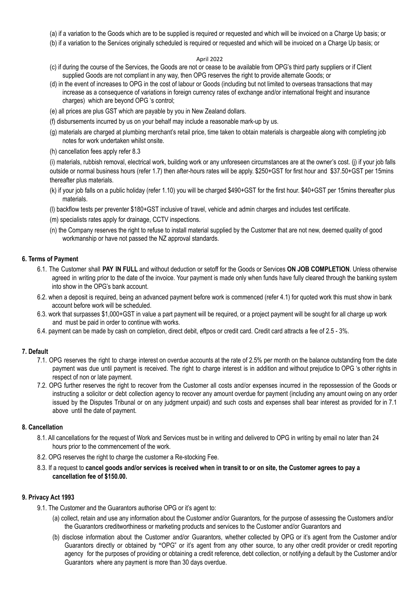- (a) if a variation to the Goods which are to be supplied is required or requested and which will be invoiced on a Charge Up basis; or
- (b) if a variation to the Services originally scheduled is required or requested and which will be invoiced on a Charge Up basis; or

#### April 2022

- (c) if during the course of the Services, the Goods are not or cease to be available from OPG's third party suppliers or if Client supplied Goods are not compliant in any way, then OPG reserves the right to provide alternate Goods; or
- (d) in the event of increases to OPG in the cost of labour or Goods (including but not limited to overseas transactions that may increase as a consequence of variations in foreign currency rates of exchange and/or international freight and insurance charges) which are beyond OPG 's control;
- (e) all prices are plus GST which are payable by you in New Zealand dollars.
- (f) disbursements incurred by us on your behalf may include a reasonable mark-up by us.
- (g) materials are charged at plumbing merchant's retail price, time taken to obtain materials is chargeable along with completing job notes for work undertaken whilst onsite.
- (h) cancellation fees apply refer 8.3

(i) materials, rubbish removal, electrical work, building work or any unforeseen circumstances are at the owner's cost. (j) if your job falls outside or normal business hours (refer 1.7) then after-hours rates will be apply. \$250+GST for first hour and \$37.50+GST per 15mins thereafter plus materials.

- (k) if your job falls on a public holiday (refer 1.10) you will be charged \$490+GST for the first hour. \$40+GST per 15mins thereafter plus materials.
- (l) backflow tests per preventer \$180+GST inclusive of travel, vehicle and admin charges and includes test certificate.
- (m) specialists rates apply for drainage, CCTV inspections.
- (n) the Company reserves the right to refuse to install material supplied by the Customer that are not new, deemed quality of good workmanship or have not passed the NZ approval standards.

### **6. Terms of Payment**

- 6.1. The Customer shall **PAY IN FULL** and without deduction or setoff for the Goods or Services **ON JOB COMPLETION**. Unless otherwise agreed in writing prior to the date of the invoice. Your payment is made only when funds have fully cleared through the banking system into show in the OPG's bank account.
- 6.2. when a deposit is required, being an advanced payment before work is commenced (refer 4.1) for quoted work this must show in bank account before work will be scheduled.
- 6.3. work that surpasses \$1,000+GST in value a part payment will be required, or a project payment will be sought for all charge up work and must be paid in order to continue with works.
- 6.4. payment can be made by cash on completion, direct debit, eftpos or credit card. Credit card attracts a fee of 2.5 3%.

# **7. Default**

- 7.1. OPG reserves the right to charge interest on overdue accounts at the rate of 2.5% per month on the balance outstanding from the date payment was due until payment is received. The right to charge interest is in addition and without prejudice to OPG 's other rights in respect of non or late payment.
- 7.2. OPG further reserves the right to recover from the Customer all costs and/or expenses incurred in the repossession of the Goods or instructing a solicitor or debt collection agency to recover any amount overdue for payment (including any amount owing on any order issued by the Disputes Tribunal or on any judgment unpaid) and such costs and expenses shall bear interest as provided for in 7.1 above until the date of payment.

#### **8. Cancellation**

- 8.1. All cancellations for the request of Work and Services must be in writing and delivered to OPG in writing by email no later than 24 hours prior to the commencement of the work.
- 8.2. OPG reserves the right to charge the customer a Re-stocking Fee.
- 8.3. If a request to cancel goods and/or services is received when in transit to or on site, the Customer agrees to pay a **cancellation fee of \$150.00.**

#### **9. Privacy Act 1993**

- 9.1. The Customer and the Guarantors authorise OPG or it's agent to:
	- (a) collect, retain and use any information about the Customer and/or Guarantors, for the purpose of assessing the Customers and/or the Guarantors creditworthiness or marketing products and services to the Customer and/or Guarantors and
	- (b) disclose information about the Customer and/or Guarantors, whether collected by OPG or it's agent from the Customer and/or Guarantors directly or obtained by **"**OPG" or it's agent from any other source, to any other credit provider or credit reporting agency for the purposes of providing or obtaining a credit reference, debt collection, or notifying a default by the Customer and/or Guarantors where any payment is more than 30 days overdue.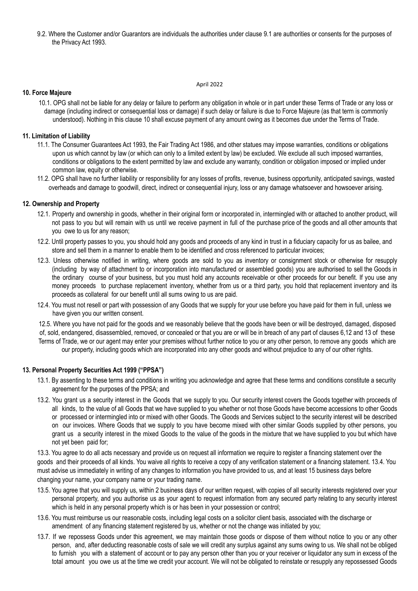9.2. Where the Customer and/or Guarantors are individuals the authorities under clause 9.1 are authorities or consents for the purposes of the Privacy Act 1993.

#### April 2022

#### **10. Force Majeure**

10.1. OPG shall not be liable for any delay or failure to perform any obligation in whole or in part under these Terms of Trade or any loss or damage (including indirect or consequential loss or damage) if such delay or failure is due to Force Majeure (as that term is commonly understood). Nothing in this clause 10 shall excuse payment of any amount owing as it becomes due under the Terms of Trade.

### **11. Limitation of Liability**

- 11.1. The Consumer Guarantees Act 1993, the Fair Trading Act 1986, and other statues may impose warranties, conditions or obligations upon us which cannot by law (or which can only to a limited extent by law) be excluded. We exclude all such imposed warranties, conditions or obligations to the extent permitted by law and exclude any warranty, condition or obligation imposed or implied under common law, equity or otherwise.
- 11.2. OPG shall have no further liability or responsibility for any losses of profits, revenue, business opportunity, anticipated savings, wasted overheads and damage to goodwill, direct, indirect or consequential injury, loss or any damage whatsoever and howsoever arising.

#### **12. Ownership and Property**

- 12.1. Property and ownership in goods, whether in their original form or incorporated in, intermingled with or attached to another product, will not pass to you but will remain with us until we receive payment in full of the purchase price of the goods and all other amounts that you owe to us for any reason;
- 12.2. Until property passes to you, you should hold any goods and proceeds of any kind in trust in a fiduciary capacity for us as bailee, and store and sell them in a manner to enable them to be identified and cross referenced to particular invoices;
- 12.3. Unless otherwise notified in writing, where goods are sold to you as inventory or consignment stock or otherwise for resupply (including by way of attachment to or incorporation into manufactured or assembled goods) you are authorised to sell the Goods in the ordinary course of your business, but you must hold any accounts receivable or other proceeds for our benefit. If you use any money proceeds to purchase replacement inventory, whether from us or a third party, you hold that replacement inventory and its proceeds as collateral for our benefit until all sums owing to us are paid.
- 12.4. You must not resell or part with possession of any Goods that we supply for your use before you have paid for them in full, unless we have given you our written consent.

12.5. Where you have not paid for the goods and we reasonably believe that the goods have been or will be destroyed, damaged, disposed of, sold, endangered, disassembled, removed, or concealed or that you are or will be in breach of any part of clauses 6,12 and 13 of these Terms of Trade, we or our agent may enter your premises without further notice to you or any other person, to remove any goods which are our property, including goods which are incorporated into any other goods and without prejudice to any of our other rights.

#### **13. Personal Property Securities Act 1999 ("PPSA")**

- 13.1. By assenting to these terms and conditions in writing you acknowledge and agree that these terms and conditions constitute a security agreement for the purposes of the PPSA; and
- 13.2. You grant us a security interest in the Goods that we supply to you. Our security interest covers the Goods together with proceeds of all kinds, to the value of all Goods that we have supplied to you whether or not those Goods have become accessions to other Goods or processed or intermingled into or mixed with other Goods. The Goods and Services subject to the security interest will be described on our invoices. Where Goods that we supply to you have become mixed with other similar Goods supplied by other persons, you grant us a security interest in the mixed Goods to the value of the goods in the mixture that we have supplied to you but which have not yet been paid for;

13.3. You agree to do all acts necessary and provide us on request all information we require to register a financing statement over the goods and their proceeds of all kinds. You waive all rights to receive a copy of any verification statement or a financing statement. 13.4. You must advise us immediately in writing of any changes to information you have provided to us, and at least 15 business days before changing your name, your company name or your trading name.

- 13.5. You agree that you will supply us, within 2 business days of our written request, with copies of all security interests registered over your personal property, and you authorise us as your agent to request information from any secured party relating to any security interest which is held in any personal property which is or has been in your possession or control;
- 13.6. You must reimburse us our reasonable costs, including legal costs on a solicitor client basis, associated with the discharge or amendment of any financing statement registered by us, whether or not the change was initiated by you;
- 13.7. If we repossess Goods under this agreement, we may maintain those goods or dispose of them without notice to you or any other person, and, after deducting reasonable costs of sale we will credit any surplus against any sums owing to us. We shall not be obliged to furnish you with a statement of account or to pay any person other than you or your receiver or liquidator any sum in excess of the total amount you owe us at the time we credit your account. We will not be obligated to reinstate or resupply any repossessed Goods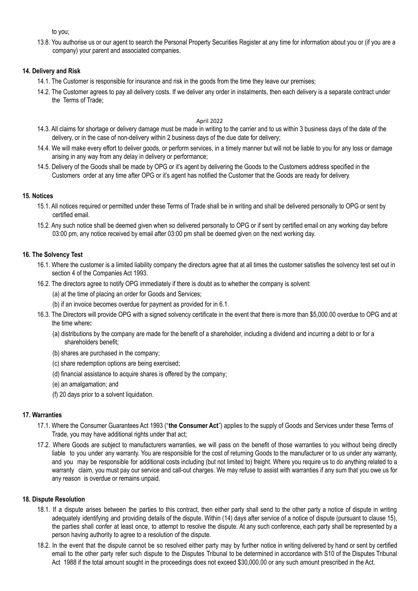to you;

13.8. You authorise us or our agent to search the Personal Property Securities Register at any time for information about you or (if you are a company) your parent and associated companies.

### **14. Delivery and Risk**

- 14.1. The Customer is responsible for insurance and risk in the goods from the time they leave our premises;
- 14.2. The Customer agrees to pay all delivery costs. If we deliver any order in instalments, then each delivery is a separate contract under the Terms of Trade;

#### April 2022

- 14.3. All claims for shortage or delivery damage must be made in writing to the carrier and to us within 3 business days of the date of the delivery, or in the case of non-delivery within 2 business days of the due date for delivery;
- 14.4. We will make every effort to deliver goods, or perform services, in a timely manner but will not be liable to you for any loss or damage arising in any way from any delay in delivery or performance;
- 14.5. Delivery of the Goods shall be made by OPG or it's agent by delivering the Goods to the Customers address specified in the Customers order at any time after OPG or it's agent has notified the Customer that the Goods are ready for delivery.

### **15. Notices**

- 15.1. All notices required or permitted under these Terms of Trade shall be in writing and shall be delivered personally to OPG or sent by certified email.
- 15.2. Any such notice shall be deemed given when so delivered personally to OPG or if sent by certified email on any working day before 03:00 pm, any notice received by email after 03:00 pm shall be deemed given on the next working day.

#### **16. The Solvency Test**

- 16.1. Where the customer is a limited liability company the directors agree that at all times the customer satisfies the solvency test set out in section 4 of the Companies Act 1993.
- 16.2. The directors agree to notify OPG immediately if there is doubt as to whether the company is solvent:
	- (a) at the time of placing an order for Goods and Services;
	- (b) if an invoice becomes overdue for payment as provided for in 6.1.
- 16.3. The Directors will provide OPG with a signed solvency certificate in the event that there is more than \$5,000.00 overdue to OPG and at the time where**:**
	- (a) distributions by the company are made for the benefit of a shareholder, including a dividend and incurring a debt to or for a shareholders benefit;
	- (b) shares are purchased in the company;
	- (c) share redemption options are being exercised;
	- (d) financial assistance to acquire shares is offered by the company;
	- (e) an amalgamation; and
	- (f) 20 days prior to a solvent liquidation.

#### **17. Warranties**

- 17.1. Where the Consumer Guarantees Act 1993 ("**the Consumer Act**") applies to the supply of Goods and Services under these Terms of Trade, you may have additional rights under that act;
- 17.2. Where Goods are subject to manufacturers warranties, we will pass on the benefit of those warranties to you without being directly liable to you under any warranty. You are responsible for the cost of returning Goods to the manufacturer or to us under any warranty, and you may be responsible for additional costs including (but not limited to) freight. Where you require us to do anything related to a warranty claim, you must pay our service and call-out charges. We may refuse to assist with warranties if any sum that you owe us for any reason is overdue or remains unpaid.

#### **18. Dispute Resolution**

- 18.1. If a dispute arises between the parties to this contract, then either party shall send to the other party a notice of dispute in writing adequately identifying and providing details of the dispute. Within (14) days after service of a notice of dispute (pursuant to clause 15), the parties shall confer at least once, to attempt to resolve the dispute. At any such conference, each party shall be represented by a person having authority to agree to a resolution of the dispute.
- 18.2. In the event that the dispute cannot be so resolved either party may by further notice in writing delivered by hand or sent by certified email to the other party refer such dispute to the Disputes Tribunal to be determined in accordance with S10 of the Disputes Tribunal Act 1988 if the total amount sought in the proceedings does not exceed \$30,000.00 or any such amount prescribed in the Act.